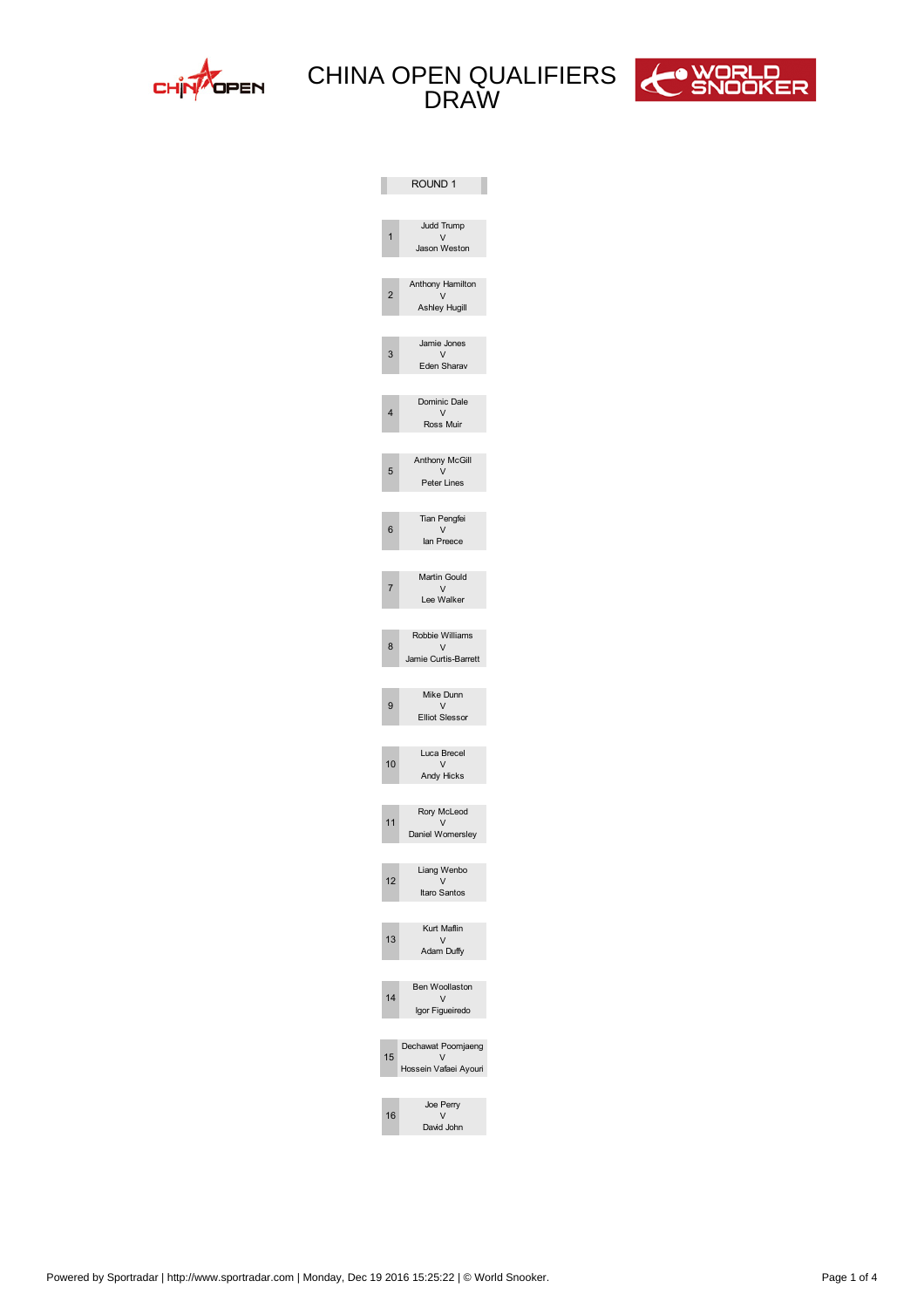



|              | ROUND 1                               |
|--------------|---------------------------------------|
|              | udd Trump<br>V                        |
|              | ason Weston                           |
| 2            | Anthony Hamilton<br>$\mathsf{V}$      |
|              | Ashley Hugill                         |
| 3            | amie ones<br>V                        |
|              | Eden Sharav                           |
|              | Dominic Dale                          |
| 4            | $\vee$<br>Ross Muir                   |
|              | Anthony McGill                        |
| 5            | V<br>Peter Lines                      |
|              | Tian Pengfei                          |
| 6            | V<br>lan Preece                       |
|              | Martin Gould                          |
| 7            | V<br>Lee Walker                       |
|              | Robbie Williams                       |
| 8            | V<br>amie Curtis-Barrett              |
|              |                                       |
| 9            | Mike Dunn<br>V<br>Elliot Slessor      |
|              |                                       |
| $\mathbf{0}$ | Luca Brecel<br>V                      |
|              | Andy Hicks                            |
|              | Rory McLeod<br>$\vee$                 |
|              | Daniel Womersley                      |
| 2            | Liang Wenbo<br>$\vee$                 |
|              | Itaro Santos                          |
| 3            | Kurt Maflin<br>$\vee$                 |
|              | Adam Duffy                            |
|              | Ben Woollaston                        |
| 4            | V<br>Igor Figueiredo                  |
|              | Dechawat Poomjaeng                    |
| 5            | $\mathsf{V}$<br>Hossein Vafaei Ayouri |
|              | oe Perry                              |
| 6            | $\vee$<br>David ohn                   |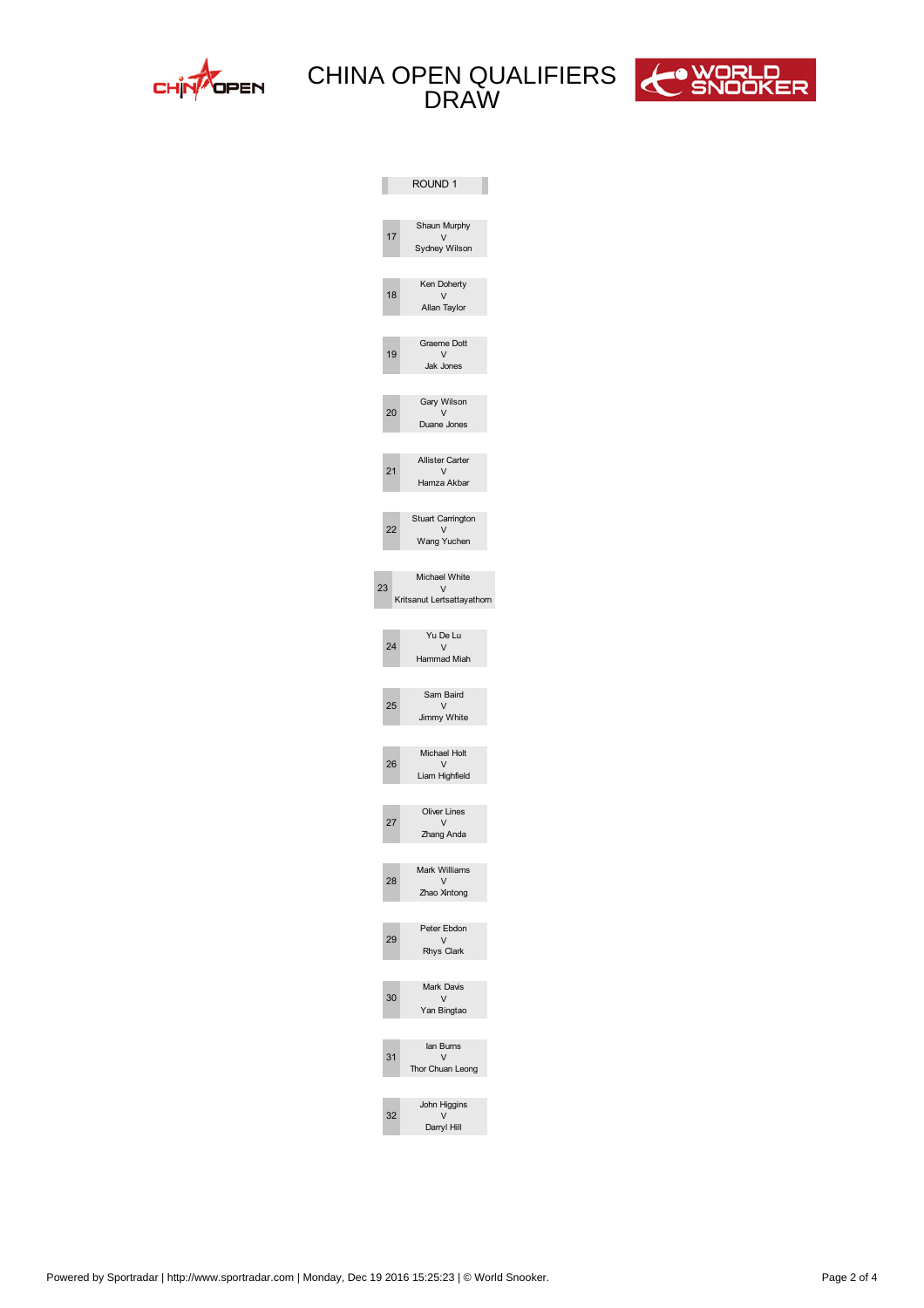



|                         |                         | ROUND 1                              |
|-------------------------|-------------------------|--------------------------------------|
|                         |                         |                                      |
|                         |                         | Shaun Murphy                         |
|                         | 17                      | $\vee$<br>Sydney Wilson              |
|                         |                         |                                      |
|                         |                         | Ken Doherty                          |
|                         | 18                      | $\vee$<br>Allan Taylor               |
|                         |                         |                                      |
|                         |                         | Graeme Dott                          |
|                         | 19                      | V<br>ak ones                         |
|                         |                         |                                      |
|                         |                         | Gary Wilson                          |
|                         | 20                      | $\vee$<br>Duane ones                 |
|                         |                         |                                      |
|                         |                         | Allister Carter                      |
|                         | 21                      | $\vee$<br>Hamza Akbar                |
|                         |                         |                                      |
|                         |                         | Stuart Carrington                    |
|                         | 22                      | $\vee$<br>Wang Yuchen                |
|                         |                         |                                      |
|                         |                         | Michael White                        |
| $\overline{\mathbf{c}}$ |                         | $\vee$<br>Kritsanut Lertsattayathorn |
|                         |                         |                                      |
|                         |                         | Yu De Lu                             |
|                         | 24                      | $\vee$<br>Hammad Miah                |
|                         |                         |                                      |
|                         |                         | Sam Baird                            |
|                         | 25                      | $\vee$<br>immy White                 |
|                         |                         |                                      |
|                         |                         | Michael Holt                         |
|                         | 26                      | $\vee$<br>Liam Highfield             |
|                         |                         |                                      |
|                         |                         | <b>Oliver Lines</b>                  |
|                         | 27                      | V<br>Zhang Anda                      |
|                         |                         |                                      |
|                         |                         | Mark Williams                        |
|                         | 28                      | V<br>Zhao Xintong                    |
|                         |                         |                                      |
|                         |                         | Peter Ebdon                          |
|                         | 29                      | V<br>Rhys Clark                      |
|                         |                         |                                      |
|                         |                         | Mark Davis                           |
|                         | $\pmb{0}$               | $\vee$<br>Yan Bingtao                |
|                         |                         |                                      |
|                         |                         | lan Burns                            |
|                         | 1                       | V<br>Thor Chuan Leong                |
|                         |                         |                                      |
|                         |                         | ohn Higgins                          |
|                         | $\overline{\mathbf{c}}$ | $\vee$<br>Darryl Hill                |
|                         |                         |                                      |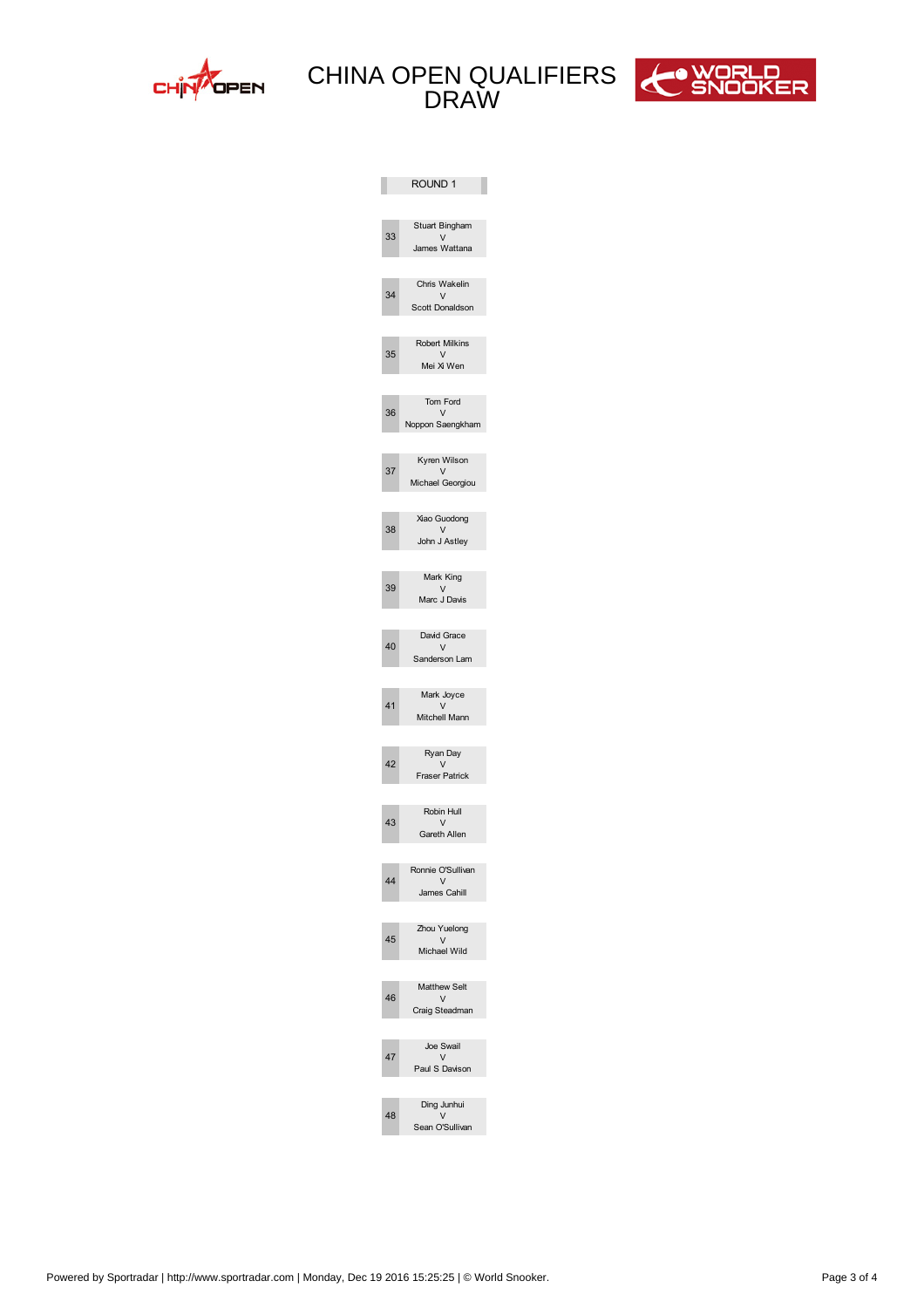



|                         | ROUND 1                        |
|-------------------------|--------------------------------|
|                         |                                |
| 33                      | Stuart Bingham<br>$\mathsf{V}$ |
|                         | James Wattana                  |
|                         | Chris Wakelin                  |
| 3                       | V<br>Scott onaldson            |
|                         |                                |
| 35                      | Robert Milkins<br>V            |
|                         | Mei Xi Wen                     |
|                         |                                |
| 36                      | Tom Ford<br>$\vee$             |
|                         | Noppon Saengkham               |
|                         | Kyren Wilson                   |
| 37                      | V<br>Michael Georgiou          |
|                         |                                |
|                         | Xiao Guodong                   |
| 38                      | $\vee$<br>John J Astley        |
|                         |                                |
| 39                      | Mark King<br>$\mathsf{V}$      |
|                         | Marc J avis                    |
|                         |                                |
| 0                       | avid Grace<br>V                |
|                         | Sanderson Lam                  |
|                         | Mark Joyce                     |
| 1                       | V<br>Mitchell Mann             |
|                         |                                |
|                         | Ryan ay                        |
| $\overline{\mathbf{c}}$ | V<br><b>Fraser Patrick</b>     |
|                         |                                |
| 3                       | Robin Hull<br>$\vee$           |
|                         | Gareth Allen                   |
|                         | Ronnie O'Sullivan              |
|                         | $\mathsf{V}$<br>James Cahill   |
|                         |                                |
|                         | Zhou Yuelong                   |
| 5                       | V<br>Michael Wild              |
|                         |                                |
| 6                       | Matthew Selt<br>V              |
|                         | Craig Steadman                 |
|                         |                                |
| 7                       | Joe Swail<br>V                 |
|                         | Paul S avison                  |
|                         | ing Junhui                     |
| 8                       | $\vee$<br>Sean O'Sullivan      |
|                         |                                |